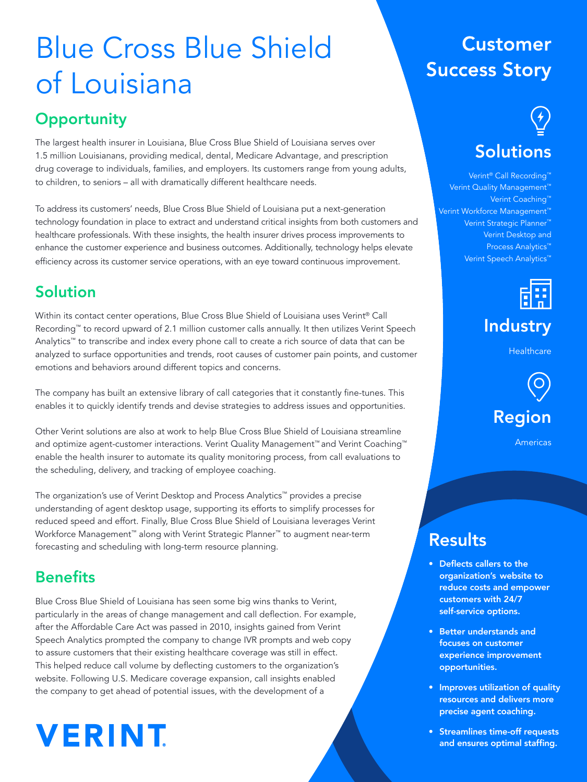## Blue Cross Blue Shield of Louisiana

## **Opportunity**

The largest health insurer in Louisiana, Blue Cross Blue Shield of Louisiana serves over 1.5 million Louisianans, providing medical, dental, Medicare Advantage, and prescription drug coverage to individuals, families, and employers. Its customers range from young adults, to children, to seniors – all with dramatically different healthcare needs.

To address its customers' needs, Blue Cross Blue Shield of Louisiana put a next-generation technology foundation in place to extract and understand critical insights from both customers and healthcare professionals. With these insights, the health insurer drives process improvements to enhance the customer experience and business outcomes. Additionally, technology helps elevate efficiency across its customer service operations, with an eye toward continuous improvement.

## Solution

Within its contact center operations, Blue Cross Blue Shield of Louisiana uses Verint® Call Recording™ to record upward of 2.1 million customer calls annually. It then utilizes Verint Speech Analytics™ to transcribe and index every phone call to create a rich source of data that can be analyzed to surface opportunities and trends, root causes of customer pain points, and customer emotions and behaviors around different topics and concerns.

The company has built an extensive library of call categories that it constantly fine-tunes. This enables it to quickly identify trends and devise strategies to address issues and opportunities.

Other Verint solutions are also at work to help Blue Cross Blue Shield of Louisiana streamline and optimize agent-customer interactions. Verint Quality Management™ and Verint Coaching™ enable the health insurer to automate its quality monitoring process, from call evaluations to the scheduling, delivery, and tracking of employee coaching.

The organization's use of Verint Desktop and Process Analytics™ provides a precise understanding of agent desktop usage, supporting its efforts to simplify processes for reduced speed and effort. Finally, Blue Cross Blue Shield of Louisiana leverages Verint Workforce Management™ along with Verint Strategic Planner™ to augment near-term forecasting and scheduling with long-term resource planning.

### **Benefits**

Blue Cross Blue Shield of Louisiana has seen some big wins thanks to Verint, particularly in the areas of change management and call deflection. For example, after the Affordable Care Act was passed in 2010, insights gained from Verint Speech Analytics prompted the company to change IVR prompts and web copy to assure customers that their existing healthcare coverage was still in effect. This helped reduce call volume by deflecting customers to the organization's website. Following U.S. Medicare coverage expansion, call insights enabled the company to get ahead of potential issues, with the development of a

# **VERINT**

## **Customer Success Story**

# **Solutions**

#### Verint<sup>®</sup> Call Recording<sup>™</sup> Verint Quality Management<sup>™</sup> Verint Coaching™ Verint Workforce Management™ Verint Strategic Planner™ Verint Desktop and Process Analytics™ Verint Speech Analytics™



## **Industry**

**Healthcare** 



Americas

## Results

- Deflects callers to the organization's website to reduce costs and empower customers with 24/7 self-service options.
- Better understands and focuses on customer experience improvement opportunities.
- Improves utilization of quality resources and delivers more precise agent coaching.
- Streamlines time-off requests and ensures optimal staffing.